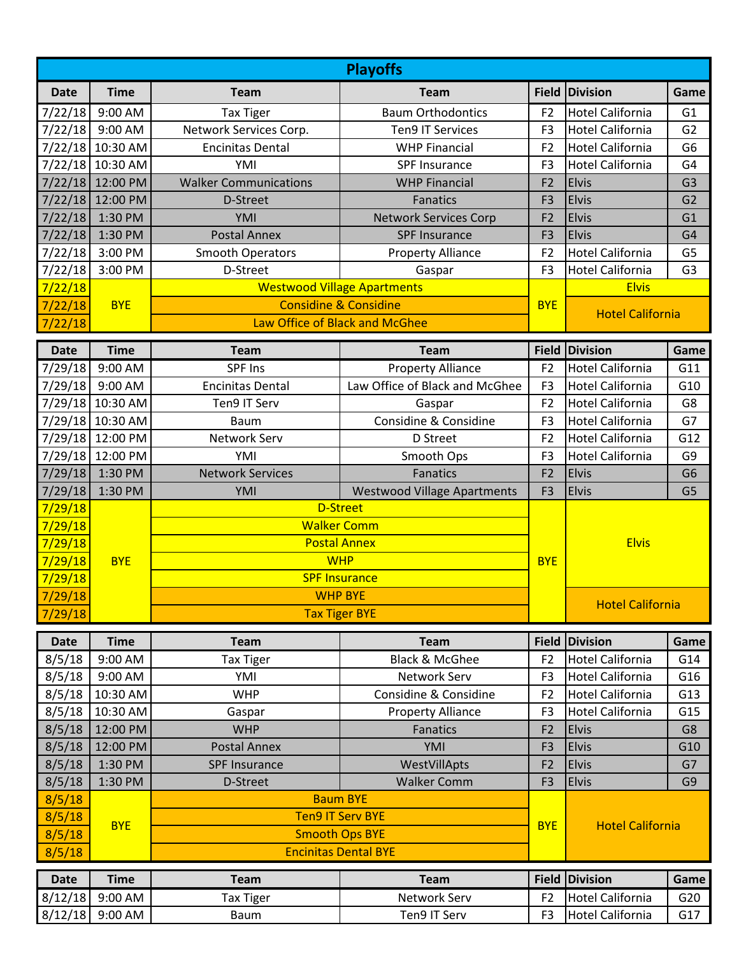| <b>Playoffs</b> |                  |                                    |                                           |                |                                         |                |  |  |  |  |  |
|-----------------|------------------|------------------------------------|-------------------------------------------|----------------|-----------------------------------------|----------------|--|--|--|--|--|
| <b>Date</b>     | <b>Time</b>      | <b>Team</b>                        | <b>Team</b>                               |                | Field Division                          | Game           |  |  |  |  |  |
| 7/22/18         | 9:00 AM          | <b>Tax Tiger</b>                   | <b>Baum Orthodontics</b>                  | F <sub>2</sub> | <b>Hotel California</b>                 | G1             |  |  |  |  |  |
| 7/22/18         | 9:00 AM          | Network Services Corp.             | <b>Ten9 IT Services</b>                   | F <sub>3</sub> | <b>Hotel California</b>                 | G <sub>2</sub> |  |  |  |  |  |
|                 | 7/22/18 10:30 AM | <b>Encinitas Dental</b>            | <b>WHP Financial</b>                      | F <sub>2</sub> | <b>Hotel California</b>                 | G <sub>6</sub> |  |  |  |  |  |
|                 | 7/22/18 10:30 AM | YMI                                | SPF Insurance                             | F <sub>3</sub> | <b>Hotel California</b>                 | G <sub>4</sub> |  |  |  |  |  |
|                 | 7/22/18 12:00 PM | <b>Walker Communications</b>       | <b>WHP Financial</b>                      | F <sub>2</sub> | <b>Elvis</b>                            | G <sub>3</sub> |  |  |  |  |  |
| 7/22/18         | 12:00 PM         | D-Street                           | Fanatics                                  | F <sub>3</sub> | <b>Elvis</b>                            | G <sub>2</sub> |  |  |  |  |  |
| 7/22/18         | 1:30 PM          | YMI                                | <b>Network Services Corp</b>              | F <sub>2</sub> | <b>Elvis</b>                            | G1             |  |  |  |  |  |
| 7/22/18         | 1:30 PM          | <b>Postal Annex</b>                | <b>SPF Insurance</b>                      | F <sub>3</sub> | <b>Elvis</b>                            | G <sub>4</sub> |  |  |  |  |  |
| 7/22/18         | 3:00 PM          | <b>Smooth Operators</b>            | <b>Property Alliance</b>                  | F <sub>2</sub> | <b>Hotel California</b>                 | G <sub>5</sub> |  |  |  |  |  |
| 7/22/18         | 3:00 PM          | D-Street                           | Gaspar                                    | F <sub>3</sub> | Hotel California                        | G <sub>3</sub> |  |  |  |  |  |
| 7/22/18         |                  |                                    | <b>Westwood Village Apartments</b>        |                | <b>Elvis</b><br><b>Hotel California</b> |                |  |  |  |  |  |
| 7/22/18         | <b>BYE</b>       | <b>Considine &amp; Considine</b>   |                                           | <b>BYE</b>     |                                         |                |  |  |  |  |  |
| 7/22/18         |                  | Law Office of Black and McGhee     |                                           |                |                                         |                |  |  |  |  |  |
| <b>Date</b>     | <b>Time</b>      | <b>Team</b>                        | <b>Team</b>                               | <b>Field</b>   | Division                                | Game           |  |  |  |  |  |
| 7/29/18         | 9:00 AM          | SPF Ins                            | <b>Property Alliance</b>                  | F <sub>2</sub> | <b>Hotel California</b>                 | G11            |  |  |  |  |  |
| 7/29/18         | 9:00 AM          | <b>Encinitas Dental</b>            | Law Office of Black and McGhee            | F <sub>3</sub> | <b>Hotel California</b>                 | G10            |  |  |  |  |  |
| 7/29/18         | 10:30 AM         | Ten9 IT Serv                       | Gaspar                                    | F <sub>2</sub> | <b>Hotel California</b>                 | G8             |  |  |  |  |  |
|                 | 7/29/18 10:30 AM | <b>Baum</b>                        | Considine & Considine                     | F <sub>3</sub> | <b>Hotel California</b>                 | G7             |  |  |  |  |  |
|                 | 7/29/18 12:00 PM | Network Serv                       | D Street                                  | F <sub>2</sub> | <b>Hotel California</b>                 | G12            |  |  |  |  |  |
|                 | 7/29/18 12:00 PM | YMI                                | Smooth Ops                                | F <sub>3</sub> | <b>Hotel California</b>                 | G <sub>9</sub> |  |  |  |  |  |
| 7/29/18         | 1:30 PM          | <b>Network Services</b>            | Fanatics                                  | F <sub>2</sub> | <b>Elvis</b>                            | G <sub>6</sub> |  |  |  |  |  |
| 7/29/18         | 1:30 PM          | YMI                                | <b>Westwood Village Apartments</b>        | F <sub>3</sub> | <b>Elvis</b>                            | G <sub>5</sub> |  |  |  |  |  |
| 7/29/18         |                  |                                    | <b>D-Street</b>                           |                |                                         |                |  |  |  |  |  |
| 7/29/18         |                  |                                    | <b>Walker Comm</b><br><b>Postal Annex</b> |                |                                         |                |  |  |  |  |  |
| 7/29/18         |                  |                                    |                                           |                | <b>Elvis</b>                            |                |  |  |  |  |  |
| 7/29/18         | <b>BYE</b>       | <b>WHP</b><br><b>SPF Insurance</b> |                                           | <b>BYE</b>     |                                         |                |  |  |  |  |  |
| 7/29/18         |                  |                                    |                                           |                |                                         |                |  |  |  |  |  |
| 7/29/18         |                  |                                    | <b>WHP BYE</b>                            |                |                                         |                |  |  |  |  |  |
| 7/29/18         |                  |                                    | <b>Tax Tiger BYE</b>                      |                | <b>Hotel California</b>                 |                |  |  |  |  |  |
|                 |                  |                                    |                                           |                |                                         |                |  |  |  |  |  |
| <b>Date</b>     | <b>Time</b>      | <b>Team</b>                        | <b>Team</b>                               | <b>Field</b>   | Division                                | Game           |  |  |  |  |  |
| 8/5/18          | 9:00 AM          | <b>Tax Tiger</b>                   | <b>Black &amp; McGhee</b>                 | F <sub>2</sub> | <b>Hotel California</b>                 | G14            |  |  |  |  |  |
| 8/5/18          | 9:00 AM          | YMI                                | Network Serv                              | F <sub>3</sub> | <b>Hotel California</b>                 | G16            |  |  |  |  |  |
| 8/5/18          | 10:30 AM         | <b>WHP</b>                         | Considine & Considine                     | F <sub>2</sub> | <b>Hotel California</b>                 | G13            |  |  |  |  |  |
| 8/5/18          | 10:30 AM         | Gaspar                             | <b>Property Alliance</b>                  | F <sub>3</sub> | <b>Hotel California</b>                 | G15            |  |  |  |  |  |
| 8/5/18          | 12:00 PM         | <b>WHP</b>                         | Fanatics                                  | F <sub>2</sub> | <b>Elvis</b>                            | G8             |  |  |  |  |  |
| 8/5/18          | 12:00 PM         | <b>Postal Annex</b>                | YMI                                       | F <sub>3</sub> | Elvis                                   | G10            |  |  |  |  |  |
| 8/5/18          | 1:30 PM          | <b>SPF Insurance</b>               | WestVillApts                              | F <sub>2</sub> | <b>Elvis</b>                            | G7             |  |  |  |  |  |
| 8/5/18          | 1:30 PM          | D-Street                           | <b>Walker Comm</b>                        | F <sub>3</sub> | <b>Elvis</b>                            | G <sub>9</sub> |  |  |  |  |  |
| 8/5/18          |                  | <b>Baum BYE</b>                    |                                           |                |                                         |                |  |  |  |  |  |
| 8/5/18          | <b>BYE</b>       | <b>Ten9 IT Serv BYE</b>            |                                           | <b>BYE</b>     | <b>Hotel California</b>                 |                |  |  |  |  |  |
| 8/5/18          |                  | <b>Smooth Ops BYE</b>              |                                           |                |                                         |                |  |  |  |  |  |
| 8/5/18          |                  | <b>Encinitas Dental BYE</b>        |                                           |                |                                         |                |  |  |  |  |  |
| <b>Date</b>     | <b>Time</b>      | <b>Team</b>                        | <b>Team</b>                               |                | Field Division                          | Game           |  |  |  |  |  |
| 8/12/18         | 9:00 AM          | <b>Tax Tiger</b>                   | Network Serv                              | F <sub>2</sub> | <b>Hotel California</b>                 | G20            |  |  |  |  |  |
| 8/12/18         | 9:00 AM          | Baum                               | Ten9 IT Serv                              | F <sub>3</sub> | <b>Hotel California</b>                 | G17            |  |  |  |  |  |